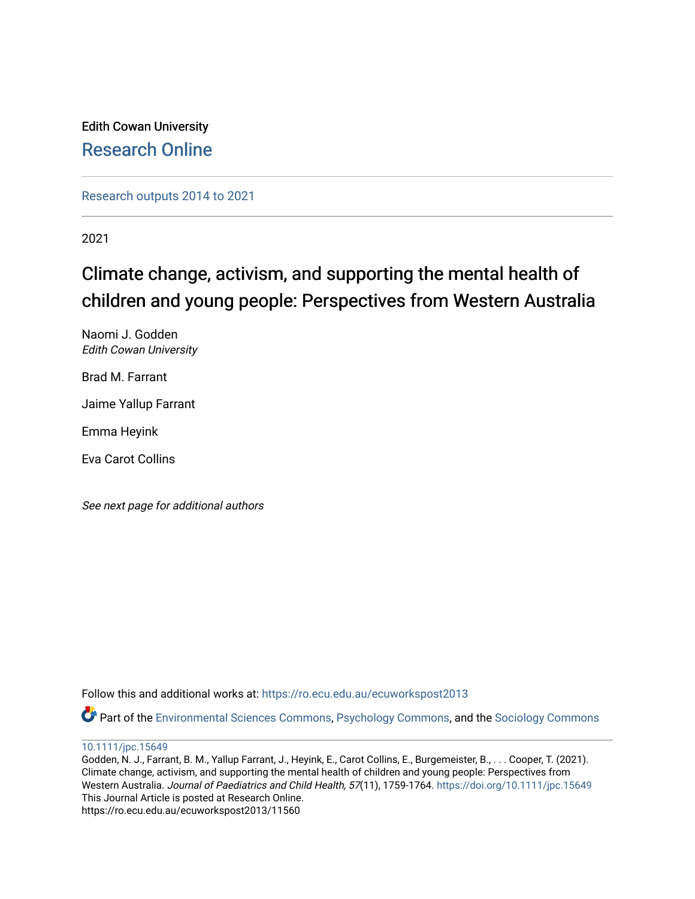Edith Cowan University [Research Online](https://ro.ecu.edu.au/) 

[Research outputs 2014 to 2021](https://ro.ecu.edu.au/ecuworkspost2013) 

2021

# Climate change, activism, and supporting the mental health of children and young people: Perspectives from Western Australia

Naomi J. Godden Edith Cowan University

Brad M. Farrant

Jaime Yallup Farrant

Emma Heyink

Eva Carot Collins

See next page for additional authors

Follow this and additional works at: [https://ro.ecu.edu.au/ecuworkspost2013](https://ro.ecu.edu.au/ecuworkspost2013?utm_source=ro.ecu.edu.au%2Fecuworkspost2013%2F11560&utm_medium=PDF&utm_campaign=PDFCoverPages) 

Part of the [Environmental Sciences Commons](http://network.bepress.com/hgg/discipline/167?utm_source=ro.ecu.edu.au%2Fecuworkspost2013%2F11560&utm_medium=PDF&utm_campaign=PDFCoverPages), [Psychology Commons](http://network.bepress.com/hgg/discipline/404?utm_source=ro.ecu.edu.au%2Fecuworkspost2013%2F11560&utm_medium=PDF&utm_campaign=PDFCoverPages), and the [Sociology Commons](http://network.bepress.com/hgg/discipline/416?utm_source=ro.ecu.edu.au%2Fecuworkspost2013%2F11560&utm_medium=PDF&utm_campaign=PDFCoverPages)

#### [10.1111/jpc.15649](http://dx.doi.org/10.1111/jpc.15649)

Godden, N. J., Farrant, B. M., Yallup Farrant, J., Heyink, E., Carot Collins, E., Burgemeister, B., . . . Cooper, T. (2021). Climate change, activism, and supporting the mental health of children and young people: Perspectives from Western Australia. Journal of Paediatrics and Child Health, 57(11), 1759-1764. <https://doi.org/10.1111/jpc.15649> This Journal Article is posted at Research Online. https://ro.ecu.edu.au/ecuworkspost2013/11560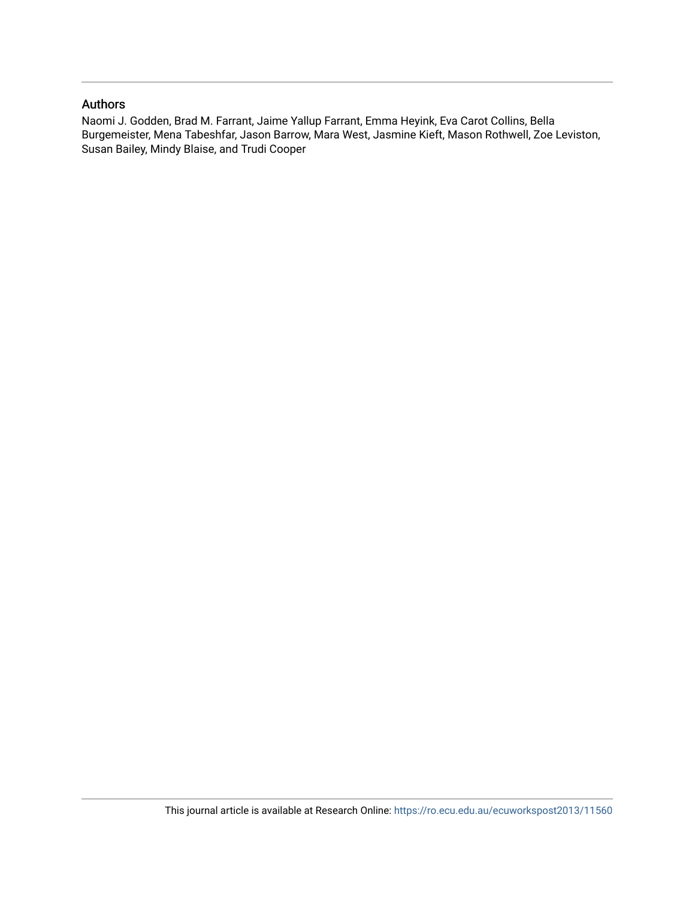#### Authors

Naomi J. Godden, Brad M. Farrant, Jaime Yallup Farrant, Emma Heyink, Eva Carot Collins, Bella Burgemeister, Mena Tabeshfar, Jason Barrow, Mara West, Jasmine Kieft, Mason Rothwell, Zoe Leviston, Susan Bailey, Mindy Blaise, and Trudi Cooper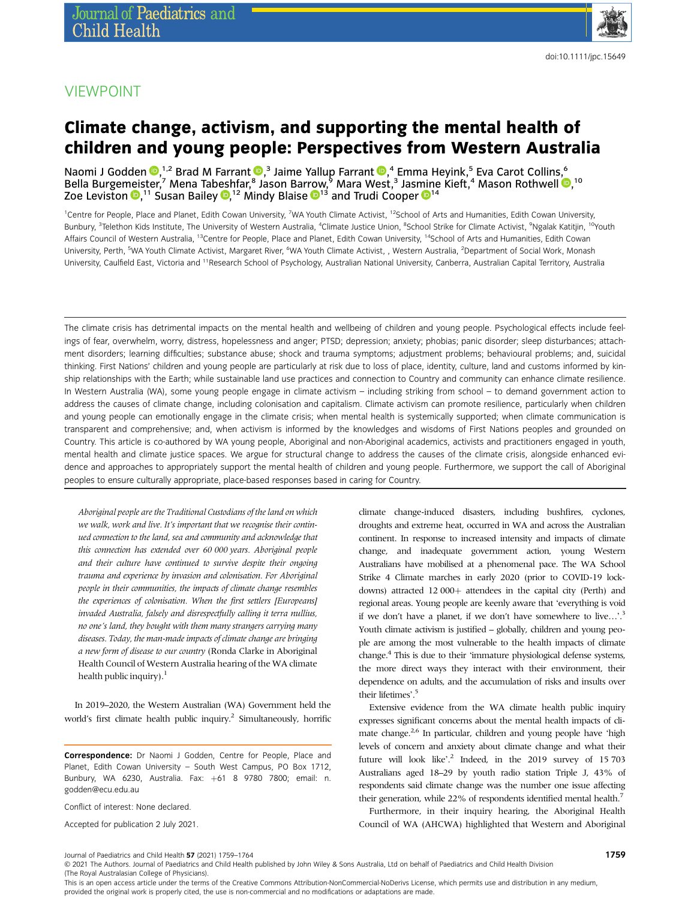### VIEWPOINT

## Climate change, activism, and supporting the mental health of children and young people: Perspectives from Western Australia

Naomi J Godden  $\mathbf{Q},^{1,2}$  $\mathbf{Q},^{1,2}$  $\mathbf{Q},^{1,2}$  Brad M Farrant  $\mathbf{Q},^3$  Jaime Yallup Farrant  $\mathbf{Q},^4$  Emma Heyink, $^5$  Eva Carot Collins, $^6$ Bella Burge[mei](https://orcid.org/0000-0002-4969-7916)ster,<sup>7</sup> Mena Tabeshfar,<sup>8</sup> Jason Bar[row](https://orcid.org/0000-0003-2476-9407),<sup>9</sup> Mara West,<sup>3</sup> Jas[min](https://orcid.org/0000-0002-4758-5881)e Kieft,<sup>4</sup> Mason Rothwell <sup>®</sup>, <sup>10</sup> Zoe Leviston <sup>11</sup> Susan Bailey <sup>12</sup> Mindy Blaise <sup>13</sup> and Trudi Cooper <sup>14</sup>

<sup>1</sup>Centre for People, Place and Planet, Edith Cowan University, <sup>7</sup>WA Youth Climate Activist, <sup>12</sup>School of Arts and Humanities, Edith Cowan University, Bunbury, <sup>3</sup>Telethon Kids Institute, The University of Western Australia, <sup>4</sup>Climate Justice Union, <sup>8</sup>School Strike for Climate Activist, <sup>9</sup>Ngalak Katitjin, <sup>10</sup>Youth Affairs Council of Western Australia, <sup>13</sup>Centre for People, Place and Planet, Edith Cowan University, <sup>14</sup>School of Arts and Humanities, Edith Cowan University, Perth, <sup>5</sup>WA Youth Climate Activist, Margaret River, <sup>6</sup>WA Youth Climate Activist, , Western Australia, <sup>2</sup>Department of Social Work, Monash University, Caulfield East, Victoria and <sup>11</sup>Research School of Psychology, Australian National University, Canberra, Australian Capital Territory, Australia

The climate crisis has detrimental impacts on the mental health and wellbeing of children and young people. Psychological effects include feelings of fear, overwhelm, worry, distress, hopelessness and anger; PTSD; depression; anxiety; phobias; panic disorder; sleep disturbances; attachment disorders; learning difficulties; substance abuse; shock and trauma symptoms; adjustment problems; behavioural problems; and, suicidal thinking. First Nations' children and young people are particularly at risk due to loss of place, identity, culture, land and customs informed by kinship relationships with the Earth; while sustainable land use practices and connection to Country and community can enhance climate resilience. In Western Australia (WA), some young people engage in climate activism – including striking from school – to demand government action to address the causes of climate change, including colonisation and capitalism. Climate activism can promote resilience, particularly when children and young people can emotionally engage in the climate crisis; when mental health is systemically supported; when climate communication is transparent and comprehensive; and, when activism is informed by the knowledges and wisdoms of First Nations peoples and grounded on Country. This article is co-authored by WA young people, Aboriginal and non-Aboriginal academics, activists and practitioners engaged in youth, mental health and climate justice spaces. We argue for structural change to address the causes of the climate crisis, alongside enhanced evidence and approaches to appropriately support the mental health of children and young people. Furthermore, we support the call of Aboriginal peoples to ensure culturally appropriate, place-based responses based in caring for Country.

Aboriginal people are the Traditional Custodians of the land on which we walk, work and live. It's important that we recognise their continued connection to the land, sea and community and acknowledge that this connection has extended over 60 000 years. Aboriginal people and their culture have continued to survive despite their ongoing trauma and experience by invasion and colonisation. For Aboriginal people in their communities, the impacts of climate change resembles the experiences of colonisation. When the first settlers [Europeans] invaded Australia, falsely and disrespectfully calling it terra nullius, no one's land, they bought with them many strangers carrying many diseases. Today, the man-made impacts of climate change are bringing a new form of disease to our country (Ronda Clarke in Aboriginal Health Council of Western Australia hearing of theWA climate health public inquiry).<sup>1</sup>

In 2019–2020, the Western Australian (WA) Government held the world's first climate health public inquiry.<sup>2</sup> Simultaneously, horrific

Correspondence: Dr Naomi J Godden, Centre for People, Place and Planet, Edith Cowan University – South West Campus, PO Box 1712, Bunbury, WA 6230, Australia. Fax: +61 8 9780 7800; email: [n.](mailto:n.godden@ecu.edu.au) [godden@ecu.edu.au](mailto:n.godden@ecu.edu.au)

Conflict of interest: None declared.

Accepted for publication 2 July 2021.

climate change-induced disasters, including bushfires, cyclones, droughts and extreme heat, occurred in WA and across the Australian continent. In response to increased intensity and impacts of climate change, and inadequate government action, young Western Australians have mobilised at a phenomenal pace. The WA School Strike 4 Climate marches in early 2020 (prior to COVID-19 lockdowns) attracted 12 000+ attendees in the capital city (Perth) and regional areas. Young people are keenly aware that 'everything is void if we don't have a planet, if we don't have somewhere to live...'.<sup>3</sup> Youth climate activism is justified – globally, children and young people are among the most vulnerable to the health impacts of climate change.4 This is due to their 'immature physiological defense systems, the more direct ways they interact with their environment, their dependence on adults, and the accumulation of risks and insults over their lifetimes'. 5

Extensive evidence from the WA climate health public inquiry expresses significant concerns about the mental health impacts of climate change.<sup>2,6</sup> In particular, children and young people have 'high levels of concern and anxiety about climate change and what their future will look like'.<sup>2</sup> Indeed, in the 2019 survey of 15703 Australians aged 18–29 by youth radio station Triple J, 43% of respondents said climate change was the number one issue affecting their generation, while 22% of respondents identified mental health.<sup>7</sup>

Furthermore, in their inquiry hearing, the Aboriginal Health Council of WA (AHCWA) highlighted that Western and Aboriginal

(The Royal Australasian College of Physicians). This is an open access article under the terms of the Creative Commons Attribution-NonCommercial-NoDerivs License, which permits use and distribution in any medium,

© 2021 The Authors. Journal of Paediatrics and Child Health published by John Wiley & Sons Australia, Ltd on behalf of Paediatrics and Child Health Division

provided the original work is properly cited, the use is non-commercial and no modifications or adaptations are made.

Journal of Paediatrics and Child Health 57 (2021) 1759–1764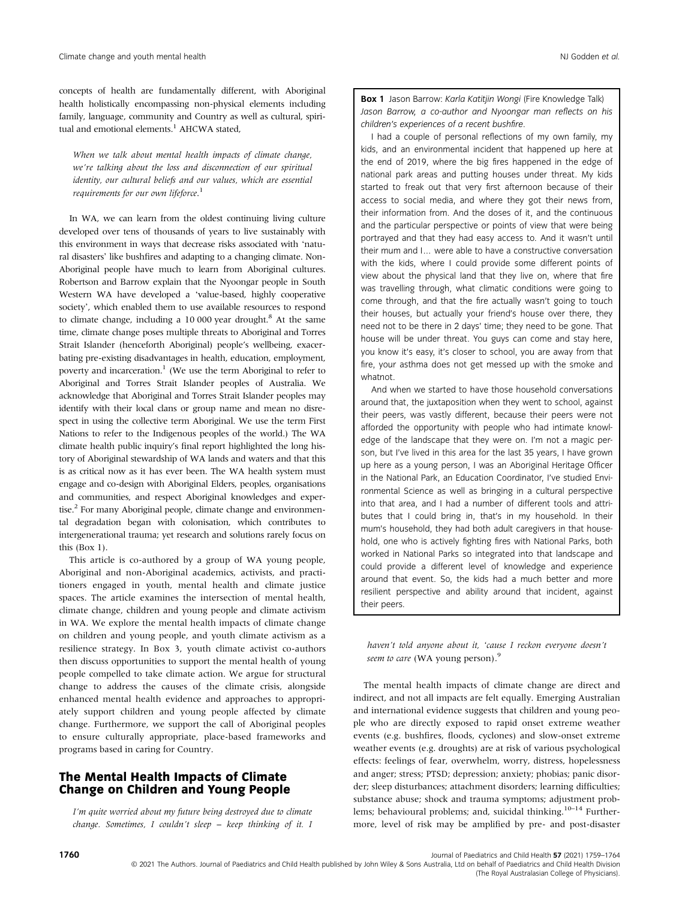concepts of health are fundamentally different, with Aboriginal health holistically encompassing non-physical elements including family, language, community and Country as well as cultural, spiritual and emotional elements.<sup>1</sup> AHCWA stated.

When we talk about mental health impacts of climate change, we're talking about the loss and disconnection of our spiritual identity, our cultural beliefs and our values, which are essential requirements for our own lifeforce.<sup>1</sup>

In WA, we can learn from the oldest continuing living culture developed over tens of thousands of years to live sustainably with this environment in ways that decrease risks associated with 'natural disasters' like bushfires and adapting to a changing climate. Non-Aboriginal people have much to learn from Aboriginal cultures. Robertson and Barrow explain that the Nyoongar people in South Western WA have developed a 'value-based, highly cooperative society', which enabled them to use available resources to respond to climate change, including a 10 000 year drought.<sup>8</sup> At the same time, climate change poses multiple threats to Aboriginal and Torres Strait Islander (henceforth Aboriginal) people's wellbeing, exacerbating pre-existing disadvantages in health, education, employment, poverty and incarceration.<sup>1</sup> (We use the term Aboriginal to refer to Aboriginal and Torres Strait Islander peoples of Australia. We acknowledge that Aboriginal and Torres Strait Islander peoples may identify with their local clans or group name and mean no disrespect in using the collective term Aboriginal. We use the term First Nations to refer to the Indigenous peoples of the world.) The WA climate health public inquiry's final report highlighted the long history of Aboriginal stewardship of WA lands and waters and that this is as critical now as it has ever been. The WA health system must engage and co-design with Aboriginal Elders, peoples, organisations and communities, and respect Aboriginal knowledges and expertise.<sup>2</sup> For many Aboriginal people, climate change and environmental degradation began with colonisation, which contributes to intergenerational trauma; yet research and solutions rarely focus on this (Box 1).

This article is co-authored by a group of WA young people, Aboriginal and non-Aboriginal academics, activists, and practitioners engaged in youth, mental health and climate justice spaces. The article examines the intersection of mental health, climate change, children and young people and climate activism in WA. We explore the mental health impacts of climate change on children and young people, and youth climate activism as a resilience strategy. In Box 3, youth climate activist co-authors then discuss opportunities to support the mental health of young people compelled to take climate action. We argue for structural change to address the causes of the climate crisis, alongside enhanced mental health evidence and approaches to appropriately support children and young people affected by climate change. Furthermore, we support the call of Aboriginal peoples to ensure culturally appropriate, place-based frameworks and programs based in caring for Country.

#### The Mental Health Impacts of Climate Change on Children and Young People

I'm quite worried about my future being destroyed due to climate change. Sometimes, I couldn't sleep – keep thinking of it. I

Box 1 Jason Barrow: Karla Katitjin Wongi (Fire Knowledge Talk) Jason Barrow, a co-author and Nyoongar man reflects on his children's experiences of a recent bushfire.

I had a couple of personal reflections of my own family, my kids, and an environmental incident that happened up here at the end of 2019, where the big fires happened in the edge of national park areas and putting houses under threat. My kids started to freak out that very first afternoon because of their access to social media, and where they got their news from, their information from. And the doses of it, and the continuous and the particular perspective or points of view that were being portrayed and that they had easy access to. And it wasn't until their mum and I… were able to have a constructive conversation with the kids, where I could provide some different points of view about the physical land that they live on, where that fire was travelling through, what climatic conditions were going to come through, and that the fire actually wasn't going to touch their houses, but actually your friend's house over there, they need not to be there in 2 days' time; they need to be gone. That house will be under threat. You guys can come and stay here, you know it's easy, it's closer to school, you are away from that fire, your asthma does not get messed up with the smoke and whatnot.

And when we started to have those household conversations around that, the juxtaposition when they went to school, against their peers, was vastly different, because their peers were not afforded the opportunity with people who had intimate knowledge of the landscape that they were on. I'm not a magic person, but I've lived in this area for the last 35 years, I have grown up here as a young person, I was an Aboriginal Heritage Officer in the National Park, an Education Coordinator, I've studied Environmental Science as well as bringing in a cultural perspective into that area, and I had a number of different tools and attributes that I could bring in, that's in my household. In their mum's household, they had both adult caregivers in that household, one who is actively fighting fires with National Parks, both worked in National Parks so integrated into that landscape and could provide a different level of knowledge and experience around that event. So, the kids had a much better and more resilient perspective and ability around that incident, against their peers.

haven't told anyone about it, 'cause I reckon everyone doesn't seem to care (WA young person).<sup>9</sup>

The mental health impacts of climate change are direct and indirect, and not all impacts are felt equally. Emerging Australian and international evidence suggests that children and young people who are directly exposed to rapid onset extreme weather events (e.g. bushfires, floods, cyclones) and slow-onset extreme weather events (e.g. droughts) are at risk of various psychological effects: feelings of fear, overwhelm, worry, distress, hopelessness and anger; stress; PTSD; depression; anxiety; phobias; panic disorder; sleep disturbances; attachment disorders; learning difficulties; substance abuse; shock and trauma symptoms; adjustment problems; behavioural problems; and, suicidal thinking.<sup>10-14</sup> Furthermore, level of risk may be amplified by pre- and post-disaster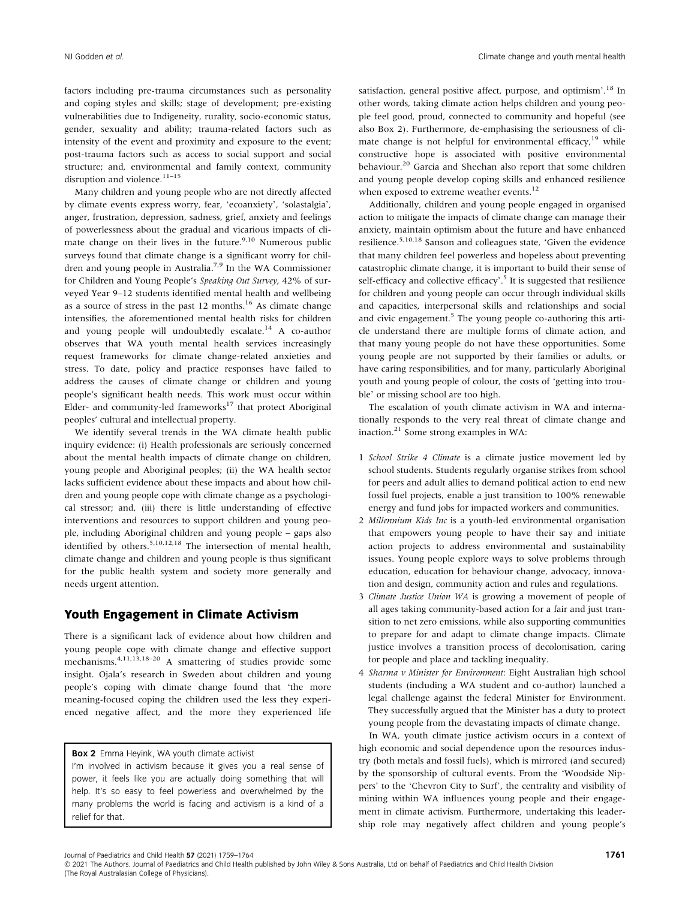factors including pre-trauma circumstances such as personality and coping styles and skills; stage of development; pre-existing vulnerabilities due to Indigeneity, rurality, socio-economic status, gender, sexuality and ability; trauma-related factors such as intensity of the event and proximity and exposure to the event; post-trauma factors such as access to social support and social structure; and, environmental and family context, community disruption and violence.<sup>11-15</sup>

Many children and young people who are not directly affected by climate events express worry, fear, 'ecoanxiety', 'solastalgia', anger, frustration, depression, sadness, grief, anxiety and feelings of powerlessness about the gradual and vicarious impacts of climate change on their lives in the future. $9,10$  Numerous public surveys found that climate change is a significant worry for children and young people in Australia.<sup>7,9</sup> In the WA Commissioner for Children and Young People's Speaking Out Survey, 42% of surveyed Year 9–12 students identified mental health and wellbeing as a source of stress in the past  $12$  months.<sup>16</sup> As climate change intensifies, the aforementioned mental health risks for children and young people will undoubtedly escalate.<sup>14</sup> A co-author observes that WA youth mental health services increasingly request frameworks for climate change-related anxieties and stress. To date, policy and practice responses have failed to address the causes of climate change or children and young people's significant health needs. This work must occur within Elder- and community-led frameworks $17$  that protect Aboriginal peoples' cultural and intellectual property.

We identify several trends in the WA climate health public inquiry evidence: (i) Health professionals are seriously concerned about the mental health impacts of climate change on children, young people and Aboriginal peoples; (ii) the WA health sector lacks sufficient evidence about these impacts and about how children and young people cope with climate change as a psychological stressor; and, (iii) there is little understanding of effective interventions and resources to support children and young people, including Aboriginal children and young people – gaps also identified by others.<sup>5,10,12,18</sup> The intersection of mental health, climate change and children and young people is thus significant for the public health system and society more generally and needs urgent attention.

#### Youth Engagement in Climate Activism

There is a significant lack of evidence about how children and young people cope with climate change and effective support mechanisms.<sup>4,11,13,18-20</sup> A smattering of studies provide some insight. Ojala's research in Sweden about children and young people's coping with climate change found that 'the more meaning-focused coping the children used the less they experienced negative affect, and the more they experienced life

Box 2 Emma Heyink, WA youth climate activist

I'm involved in activism because it gives you a real sense of power, it feels like you are actually doing something that will help. It's so easy to feel powerless and overwhelmed by the many problems the world is facing and activism is a kind of a relief for that.

satisfaction, general positive affect, purpose, and optimism'.<sup>18</sup> In other words, taking climate action helps children and young people feel good, proud, connected to community and hopeful (see also Box 2). Furthermore, de-emphasising the seriousness of climate change is not helpful for environmental efficacy, $19$  while constructive hope is associated with positive environmental behaviour.20 Garcia and Sheehan also report that some children and young people develop coping skills and enhanced resilience when exposed to extreme weather events.<sup>12</sup>

Additionally, children and young people engaged in organised action to mitigate the impacts of climate change can manage their anxiety, maintain optimism about the future and have enhanced resilience.5,10,18 Sanson and colleagues state, 'Given the evidence that many children feel powerless and hopeless about preventing catastrophic climate change, it is important to build their sense of self-efficacy and collective efficacy'.<sup>5</sup> It is suggested that resilience for children and young people can occur through individual skills and capacities, interpersonal skills and relationships and social and civic engagement.<sup>5</sup> The young people co-authoring this article understand there are multiple forms of climate action, and that many young people do not have these opportunities. Some young people are not supported by their families or adults, or have caring responsibilities, and for many, particularly Aboriginal youth and young people of colour, the costs of 'getting into trouble' or missing school are too high.

The escalation of youth climate activism in WA and internationally responds to the very real threat of climate change and inaction.<sup>21</sup> Some strong examples in WA:

- 1 School Strike 4 Climate is a climate justice movement led by school students. Students regularly organise strikes from school for peers and adult allies to demand political action to end new fossil fuel projects, enable a just transition to 100% renewable energy and fund jobs for impacted workers and communities.
- 2 Millennium Kids Inc is a youth-led environmental organisation that empowers young people to have their say and initiate action projects to address environmental and sustainability issues. Young people explore ways to solve problems through education, education for behaviour change, advocacy, innovation and design, community action and rules and regulations.
- 3 Climate Justice Union WA is growing a movement of people of all ages taking community-based action for a fair and just transition to net zero emissions, while also supporting communities to prepare for and adapt to climate change impacts. Climate justice involves a transition process of decolonisation, caring for people and place and tackling inequality.
- 4 Sharma v Minister for Environment: Eight Australian high school students (including a WA student and co-author) launched a legal challenge against the federal Minister for Environment. They successfully argued that the Minister has a duty to protect young people from the devastating impacts of climate change.

In WA, youth climate justice activism occurs in a context of high economic and social dependence upon the resources industry (both metals and fossil fuels), which is mirrored (and secured) by the sponsorship of cultural events. From the 'Woodside Nippers' to the 'Chevron City to Surf', the centrality and visibility of mining within WA influences young people and their engagement in climate activism. Furthermore, undertaking this leadership role may negatively affect children and young people's

Journal of Paediatrics and Child Health 57 (2021) 1759–1764

© 2021 The Authors. Journal of Paediatrics and Child Health published by John Wiley & Sons Australia, Ltd on behalf of Paediatrics and Child Health Division (The Royal Australasian College of Physicians).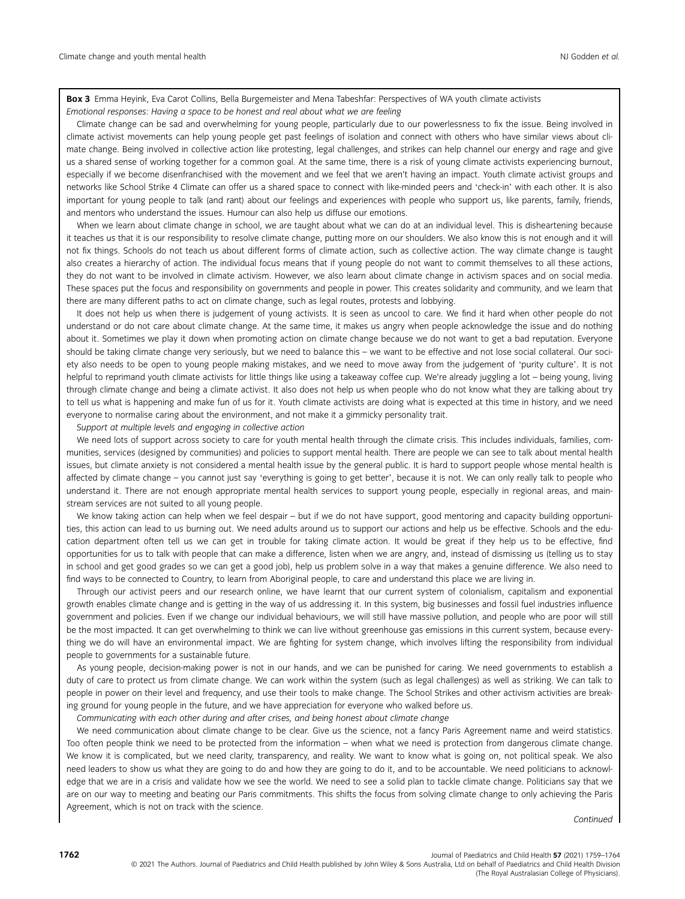Box 3 Emma Heyink, Eva Carot Collins, Bella Burgemeister and Mena Tabeshfar: Perspectives of WA youth climate activists Emotional responses: Having a space to be honest and real about what we are feeling

Climate change can be sad and overwhelming for young people, particularly due to our powerlessness to fix the issue. Being involved in climate activist movements can help young people get past feelings of isolation and connect with others who have similar views about climate change. Being involved in collective action like protesting, legal challenges, and strikes can help channel our energy and rage and give us a shared sense of working together for a common goal. At the same time, there is a risk of young climate activists experiencing burnout, especially if we become disenfranchised with the movement and we feel that we aren't having an impact. Youth climate activist groups and networks like School Strike 4 Climate can offer us a shared space to connect with like-minded peers and 'check-in' with each other. It is also important for young people to talk (and rant) about our feelings and experiences with people who support us, like parents, family, friends, and mentors who understand the issues. Humour can also help us diffuse our emotions.

When we learn about climate change in school, we are taught about what we can do at an individual level. This is disheartening because it teaches us that it is our responsibility to resolve climate change, putting more on our shoulders. We also know this is not enough and it will not fix things. Schools do not teach us about different forms of climate action, such as collective action. The way climate change is taught also creates a hierarchy of action. The individual focus means that if young people do not want to commit themselves to all these actions, they do not want to be involved in climate activism. However, we also learn about climate change in activism spaces and on social media. These spaces put the focus and responsibility on governments and people in power. This creates solidarity and community, and we learn that there are many different paths to act on climate change, such as legal routes, protests and lobbying.

It does not help us when there is judgement of young activists. It is seen as uncool to care. We find it hard when other people do not understand or do not care about climate change. At the same time, it makes us angry when people acknowledge the issue and do nothing about it. Sometimes we play it down when promoting action on climate change because we do not want to get a bad reputation. Everyone should be taking climate change very seriously, but we need to balance this – we want to be effective and not lose social collateral. Our society also needs to be open to young people making mistakes, and we need to move away from the judgement of 'purity culture'. It is not helpful to reprimand youth climate activists for little things like using a takeaway coffee cup. We're already juggling a lot – being young, living through climate change and being a climate activist. It also does not help us when people who do not know what they are talking about try to tell us what is happening and make fun of us for it. Youth climate activists are doing what is expected at this time in history, and we need everyone to normalise caring about the environment, and not make it a gimmicky personality trait.

#### Support at multiple levels and engaging in collective action

We need lots of support across society to care for youth mental health through the climate crisis. This includes individuals, families, communities, services (designed by communities) and policies to support mental health. There are people we can see to talk about mental health issues, but climate anxiety is not considered a mental health issue by the general public. It is hard to support people whose mental health is affected by climate change – you cannot just say 'everything is going to get better', because it is not. We can only really talk to people who understand it. There are not enough appropriate mental health services to support young people, especially in regional areas, and mainstream services are not suited to all young people.

We know taking action can help when we feel despair – but if we do not have support, good mentoring and capacity building opportunities, this action can lead to us burning out. We need adults around us to support our actions and help us be effective. Schools and the education department often tell us we can get in trouble for taking climate action. It would be great if they help us to be effective, find opportunities for us to talk with people that can make a difference, listen when we are angry, and, instead of dismissing us (telling us to stay in school and get good grades so we can get a good job), help us problem solve in a way that makes a genuine difference. We also need to find ways to be connected to Country, to learn from Aboriginal people, to care and understand this place we are living in.

Through our activist peers and our research online, we have learnt that our current system of colonialism, capitalism and exponential growth enables climate change and is getting in the way of us addressing it. In this system, big businesses and fossil fuel industries influence government and policies. Even if we change our individual behaviours, we will still have massive pollution, and people who are poor will still be the most impacted. It can get overwhelming to think we can live without greenhouse gas emissions in this current system, because everything we do will have an environmental impact. We are fighting for system change, which involves lifting the responsibility from individual people to governments for a sustainable future.

As young people, decision-making power is not in our hands, and we can be punished for caring. We need governments to establish a duty of care to protect us from climate change. We can work within the system (such as legal challenges) as well as striking. We can talk to people in power on their level and frequency, and use their tools to make change. The School Strikes and other activism activities are breaking ground for young people in the future, and we have appreciation for everyone who walked before us.

Communicating with each other during and after crises, and being honest about climate change

We need communication about climate change to be clear. Give us the science, not a fancy Paris Agreement name and weird statistics. Too often people think we need to be protected from the information – when what we need is protection from dangerous climate change. We know it is complicated, but we need clarity, transparency, and reality. We want to know what is going on, not political speak. We also need leaders to show us what they are going to do and how they are going to do it, and to be accountable. We need politicians to acknowledge that we are in a crisis and validate how we see the world. We need to see a solid plan to tackle climate change. Politicians say that we are on our way to meeting and beating our Paris commitments. This shifts the focus from solving climate change to only achieving the Paris Agreement, which is not on track with the science.

Continued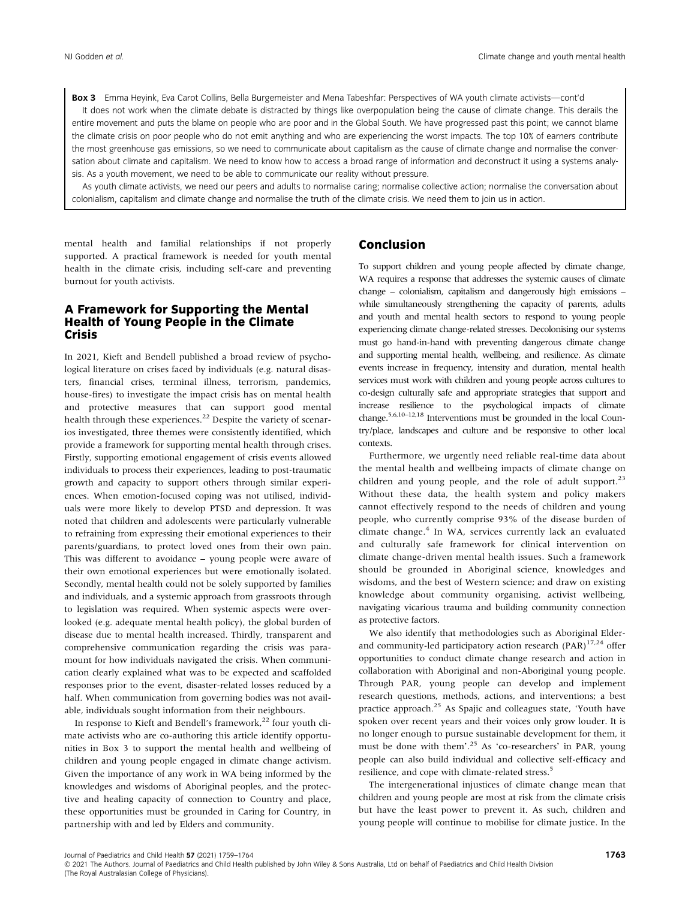Box 3 Emma Heyink, Eva Carot Collins, Bella Burgemeister and Mena Tabeshfar: Perspectives of WA youth climate activists—cont'd It does not work when the climate debate is distracted by things like overpopulation being the cause of climate change. This derails the entire movement and puts the blame on people who are poor and in the Global South. We have progressed past this point; we cannot blame the climate crisis on poor people who do not emit anything and who are experiencing the worst impacts. The top 10% of earners contribute the most greenhouse gas emissions, so we need to communicate about capitalism as the cause of climate change and normalise the conversation about climate and capitalism. We need to know how to access a broad range of information and deconstruct it using a systems analysis. As a youth movement, we need to be able to communicate our reality without pressure.

As youth climate activists, we need our peers and adults to normalise caring; normalise collective action; normalise the conversation about colonialism, capitalism and climate change and normalise the truth of the climate crisis. We need them to join us in action.

mental health and familial relationships if not properly supported. A practical framework is needed for youth mental health in the climate crisis, including self-care and preventing burnout for youth activists.

#### A Framework for Supporting the Mental Health of Young People in the Climate Crisis

In 2021, Kieft and Bendell published a broad review of psychological literature on crises faced by individuals (e.g. natural disasters, financial crises, terminal illness, terrorism, pandemics, house-fires) to investigate the impact crisis has on mental health and protective measures that can support good mental health through these experiences.<sup>22</sup> Despite the variety of scenarios investigated, three themes were consistently identified, which provide a framework for supporting mental health through crises. Firstly, supporting emotional engagement of crisis events allowed individuals to process their experiences, leading to post-traumatic growth and capacity to support others through similar experiences. When emotion-focused coping was not utilised, individuals were more likely to develop PTSD and depression. It was noted that children and adolescents were particularly vulnerable to refraining from expressing their emotional experiences to their parents/guardians, to protect loved ones from their own pain. This was different to avoidance – young people were aware of their own emotional experiences but were emotionally isolated. Secondly, mental health could not be solely supported by families and individuals, and a systemic approach from grassroots through to legislation was required. When systemic aspects were overlooked (e.g. adequate mental health policy), the global burden of disease due to mental health increased. Thirdly, transparent and comprehensive communication regarding the crisis was paramount for how individuals navigated the crisis. When communication clearly explained what was to be expected and scaffolded responses prior to the event, disaster-related losses reduced by a half. When communication from governing bodies was not available, individuals sought information from their neighbours.

In response to Kieft and Bendell's framework, $^{22}$  four youth climate activists who are co-authoring this article identify opportunities in Box 3 to support the mental health and wellbeing of children and young people engaged in climate change activism. Given the importance of any work in WA being informed by the knowledges and wisdoms of Aboriginal peoples, and the protective and healing capacity of connection to Country and place, these opportunities must be grounded in Caring for Country, in partnership with and led by Elders and community.

#### Conclusion

To support children and young people affected by climate change, WA requires a response that addresses the systemic causes of climate change – colonialism, capitalism and dangerously high emissions – while simultaneously strengthening the capacity of parents, adults and youth and mental health sectors to respond to young people experiencing climate change-related stresses. Decolonising our systems must go hand-in-hand with preventing dangerous climate change and supporting mental health, wellbeing, and resilience. As climate events increase in frequency, intensity and duration, mental health services must work with children and young people across cultures to co-design culturally safe and appropriate strategies that support and increase resilience to the psychological impacts of climate change.5,6,10–12,18 Interventions must be grounded in the local Country/place, landscapes and culture and be responsive to other local contexts.

Furthermore, we urgently need reliable real-time data about the mental health and wellbeing impacts of climate change on children and young people, and the role of adult support.<sup>23</sup> Without these data, the health system and policy makers cannot effectively respond to the needs of children and young people, who currently comprise 93% of the disease burden of climate change.<sup>4</sup> In WA, services currently lack an evaluated and culturally safe framework for clinical intervention on climate change-driven mental health issues. Such a framework should be grounded in Aboriginal science, knowledges and wisdoms, and the best of Western science; and draw on existing knowledge about community organising, activist wellbeing, navigating vicarious trauma and building community connection as protective factors.

We also identify that methodologies such as Aboriginal Elderand community-led participatory action research (PAR)<sup>17,24</sup> offer opportunities to conduct climate change research and action in collaboration with Aboriginal and non-Aboriginal young people. Through PAR, young people can develop and implement research questions, methods, actions, and interventions; a best practice approach.25 As Spajic and colleagues state, 'Youth have spoken over recent years and their voices only grow louder. It is no longer enough to pursue sustainable development for them, it must be done with them'.<sup>25</sup> As 'co-researchers' in PAR, young people can also build individual and collective self-efficacy and resilience, and cope with climate-related stress.<sup>5</sup>

The intergenerational injustices of climate change mean that children and young people are most at risk from the climate crisis but have the least power to prevent it. As such, children and young people will continue to mobilise for climate justice. In the

Journal of Paediatrics and Child Health 57 (2021) 1759–1764